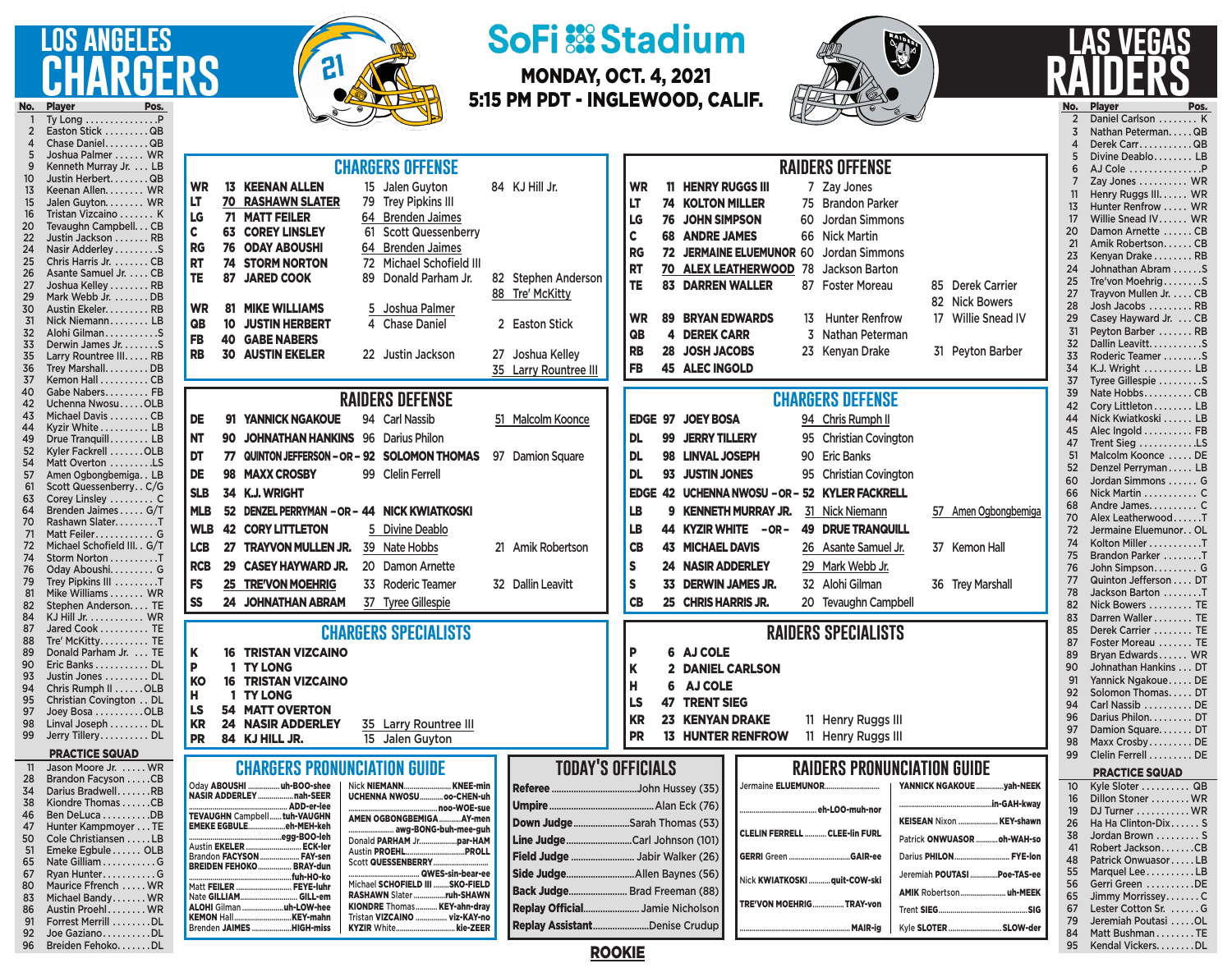## **los angeles GERS** No. Player<br>1 Ty Lon

Ty Long . . . . . . . . . . . . . . . P 2 Easton Stick . . . . . . . . QB

96 Breiden Fehoko.......DL



# **SoFi :: Stadium**

MONDAY, OCT. 4, 2021 5:15 PM PDT - INGLEWOOD, CALIF.



### **las vegas raiders** No. Player Pos. 2 Daniel Carlson . . . . . . . . K 3 Nathan Peterman.....QB

95 Kendal Vickers........DL

| Chase DanielQB<br>Joshua Palmer  WR<br>Kenneth Murray Jr. LB<br>Justin HerbertQB<br>10<br>Keenan Allen. WR<br>13<br>Jalen Guyton. WR<br>Tristan Vizcaino  K<br>Tevaughn Campbell. CB<br>20<br>22<br>Justin Jackson  RB<br>24<br>Nasir Adderley S<br>25<br>Chris Harris Jr. CB<br>26<br>Asante Samuel Jr. CB<br>27<br>Joshua Kelley RB<br>29<br>Mark Webb Jr. DB<br>30<br>Austin Ekeler. RB<br>31<br>Nick Niemann LB<br>Alohi GilmanS<br>32<br>33<br>Derwin James Jr. S<br>35<br>Larry Rountree III. RB<br>36<br>Trey MarshallDB                                                                                                                                                                                                                                                                                                 | <b>CHARGERS OFFENSE</b><br><b>RAIDERS OFFENSE</b><br><b>WR</b><br><b>13 KEENAN ALLEN</b><br>84 KJ Hill Jr.<br><b>11 HENRY RUGGS III</b><br>15 Jalen Guyton<br><b>WR</b><br>7 Zay Jones<br>LT<br><b>RASHAWN SLATER</b><br>79 Trey Pipkins III<br>70<br>LT<br>74 KOLTON MILLER<br>75 Brandon Parker<br>LG<br><b>71 MATT FEILER</b><br>64 Brenden Jaimes<br>76 JOHN SIMPSON<br>LG<br>60 Jordan Simmons<br>C<br><b>63 COREY LINSLEY</b><br><b>Scott Quessenberry</b><br>61<br>$\mathbf c$<br><b>68 ANDRE JAMES</b><br>66 Nick Martin<br>RG<br><b>76 ODAY ABOUSHI</b><br>64 Brenden Jaimes<br>72 JERMAINE ELUEMUNOR 60<br><b>RG</b><br>Jordan Simmons<br><b>RT</b><br>72 Michael Schofield III<br><b>74 STORM NORTON</b><br><b>RT</b><br><b>70 ALEX LEATHERWOOD 78</b><br>Jackson Barton<br>TE.<br>87<br><b>JARED COOK</b><br>89 Donald Parham Jr.<br>82 Stephen Anderson<br>TE<br><b>83 DARREN WALLER</b><br>87 Foster Moreau<br>85 Derek Carrier<br>88 Tre' McKitty<br>82 Nick Bowers<br><b>WR</b><br><b>81 MIKE WILLIAMS</b><br>5 Joshua Palmer<br><b>89 BRYAN EDWARDS</b><br>13 Hunter Renfrow<br>17 Willie Snead IV<br><b>WR</b><br>QB<br><b>10 JUSTIN HERBERT</b><br>4 Chase Daniel<br>2 Easton Stick<br>QB<br><b>4 DEREK CARR</b><br>3 Nathan Peterman<br><b>FB</b><br><b>40 GABE NABERS</b><br><b>RB</b><br>28 JOSH JACOBS<br>23 Kenyan Drake<br>31 Peyton Barber<br><b>RB</b><br><b>30 AUSTIN EKELER</b><br>27 Joshua Kelley<br>22 Justin Jackson<br><b>FB</b><br><b>45 ALEC INGOLD</b><br>35 Larry Rountree III                                                                                                                                                                                                                                                                                                                                                                                                                                                                                                               | Derek CarrQB<br>4<br>Divine Deablo LB<br>AJ Cole P<br>6<br>Zay Jones  WR<br>Henry Ruggs III. WR<br>11<br>13<br>Hunter Renfrow  WR<br>17<br>Willie Snead IV WR<br>20<br>Damon Arnette CB<br>21<br>Amik Robertson CB<br>23<br>Kenyan Drake RB<br>24<br>Johnathan Abram S<br>25<br>Tre'von MoehrigS<br>27<br>Trayvon Mullen Jr. CB<br>28<br>Josh Jacobs  RB<br>29<br>Casey Hayward Jr. CB<br>31<br>Peyton Barber  RB<br>32<br>Dallin Leavitt. S<br>33<br>Roderic Teamer S<br>34<br>K.J. Wright  LB                                                                                                                                                                                                                                                                   |
|---------------------------------------------------------------------------------------------------------------------------------------------------------------------------------------------------------------------------------------------------------------------------------------------------------------------------------------------------------------------------------------------------------------------------------------------------------------------------------------------------------------------------------------------------------------------------------------------------------------------------------------------------------------------------------------------------------------------------------------------------------------------------------------------------------------------------------|------------------------------------------------------------------------------------------------------------------------------------------------------------------------------------------------------------------------------------------------------------------------------------------------------------------------------------------------------------------------------------------------------------------------------------------------------------------------------------------------------------------------------------------------------------------------------------------------------------------------------------------------------------------------------------------------------------------------------------------------------------------------------------------------------------------------------------------------------------------------------------------------------------------------------------------------------------------------------------------------------------------------------------------------------------------------------------------------------------------------------------------------------------------------------------------------------------------------------------------------------------------------------------------------------------------------------------------------------------------------------------------------------------------------------------------------------------------------------------------------------------------------------------------------------------------------------------------------------------------------------------------------------------------------------------------------------------------------------------------------------------------------------------------------------------------------------------------------------------------------------------------------------------------------------------------------------------------------------------------------------------------------------------|-------------------------------------------------------------------------------------------------------------------------------------------------------------------------------------------------------------------------------------------------------------------------------------------------------------------------------------------------------------------------------------------------------------------------------------------------------------------------------------------------------------------------------------------------------------------------------------------------------------------------------------------------------------------------------------------------------------------------------------------------------------------|
| Kemon Hall CB<br>37<br>Gabe Nabers FB<br>40                                                                                                                                                                                                                                                                                                                                                                                                                                                                                                                                                                                                                                                                                                                                                                                     |                                                                                                                                                                                                                                                                                                                                                                                                                                                                                                                                                                                                                                                                                                                                                                                                                                                                                                                                                                                                                                                                                                                                                                                                                                                                                                                                                                                                                                                                                                                                                                                                                                                                                                                                                                                                                                                                                                                                                                                                                                    | 37<br>Tyree Gillespie S<br>39<br>Nate HobbsCB                                                                                                                                                                                                                                                                                                                                                                                                                                                                                                                                                                                                                                                                                                                     |
| Uchenna NwosuOLB<br>42<br>Michael Davis CB<br>43<br>44<br>Kyzir White LB<br>49<br>Drue Tranquill LB<br>52<br>Kyler Fackrell OLB<br>54<br>Matt Overton LS<br>57<br>Amen Ogbongbemiga. . LB<br>Scott Quessenberry. . C/G<br>61<br>63<br>Corey Linsley  C<br>64<br>Brenden Jaimes G/T<br>Rashawn SlaterT<br>70<br>Matt Feiler G<br>71<br>Michael Schofield III. . G/T<br>72<br>74<br>Storm Norton T<br>76<br>Oday Aboushi G<br>Trey Pipkins III T<br>79<br>Mike Williams WR<br>81<br>82<br>Stephen Anderson TE<br>84<br>KJ Hill Jr. WR<br>87<br>Jared Cook  TE<br>88<br>Tre' McKitty TE<br>89<br>Donald Parham Jr. TE<br>90<br>Eric Banks DL<br>93<br>Justin Jones DL<br>Chris Rumph II OLB<br>94<br>Christian Covington DL<br>95<br>97<br>Joey Bosa OLB<br>98<br>Linval Joseph DL<br>99 Jerry Tillery DL<br><b>PRACTICE SQUAD</b> | <b>RAIDERS DEFENSE</b><br><b>CHARGERS DEFENSE</b><br>DE<br>91 YANNICK NGAKOUE<br>EDGE 97 JOEY BOSA<br>94 Carl Nassib<br>51 Malcolm Koonce<br>94 Chris Rumph II<br><b>NT</b><br><b>JOHNATHAN HANKINS</b> 96 Darius Philon<br><b>DL</b><br>99 JERRY TILLERY<br>95 Christian Covington<br>90<br>DT<br>77 QUINTON JEFFERSON - OR - 92 SOLOMON THOMAS<br>98 LINVAL JOSEPH<br>90 Eric Banks<br>97 Damion Square<br><b>DL</b><br>DE<br>98 MAXX CROSBY<br>99 Clelin Ferrell<br>DL<br>93 JUSTIN JONES<br>95 Christian Covington<br><b>SLB</b><br>34 K.J. WRIGHT<br>EDGE 42 UCHENNA NWOSU - OR - 52 KYLER FACKRELL<br><b>DENZEL PERRYMAN - OR - 44 NICK KWIATKOSKI</b><br>31 Nick Niemann<br>LB<br>9 KENNETH MURRAY JR.<br><b>MLB</b><br>52<br>57 Amen Ogbongbemiga<br><b>WLB</b><br><b>42 CORY LITTLETON</b><br>44 KYZIR WHITE - OR-<br>5 Divine Deablo<br>LB<br><b>49 DRUE TRANQUILL</b><br><b>TRAYVON MULLEN JR.</b><br><b>43 MICHAEL DAVIS</b><br><b>LCB</b><br>39 Nate Hobbs<br>21 Amik Robertson<br>CB<br>37 Kemon Hall<br>27 <sub>2</sub><br>26 Asante Samuel Jr.<br><b>RCB</b><br><b>CASEY HAYWARD JR.</b><br>29<br><b>S</b><br><b>24 NASIR ADDERLEY</b><br>29 Mark Webb Jr.<br>20 Damon Arnette<br><b>FS</b><br>33 DERWIN JAMES JR.<br>32 Alohi Gilman<br><b>25 TRE'VON MOEHRIG</b><br>33 Roderic Teamer<br>32 Dallin Leavitt<br>$\mathsf{s}$<br>36 Trey Marshall<br><b>SS</b><br>24 JOHNATHAN ABRAM<br>25 CHRIS HARRIS JR.<br>37 Tyree Gillespie<br>CB<br>20 Tevaughn Campbell<br><b>RAIDERS SPECIALISTS</b><br><b>CHARGERS SPECIALISTS</b><br><b>16 TRISTAN VIZCAINO</b><br>6 AJ COLE<br>Κ<br>P<br>Þ<br>1 TY LONG<br>2 DANIEL CARLSON<br>K<br>KO<br>16<br><b>TRISTAN VIZCAINO</b><br>м<br>6 AJ COLE<br>п<br>Н<br>1 TY LONG<br><b>47 TRENT SIEG</b><br>LS<br><b>54 MATT OVERTON</b><br>LS<br>KR<br><b>23 KENYAN DRAKE</b><br>11 Henry Ruggs III<br><b>KR</b><br><b>24 NASIR ADDERLEY</b><br>35 Larry Rountree III<br><b>PR</b><br><b>13 HUNTER RENFROW</b><br>11 Henry Ruggs III<br>84 KJ HILL JR.<br>15 Jalen Guyton<br><b>PR</b> | Cory Littleton LB<br>42<br>Nick Kwiatkoski  LB<br>45<br>Alec Ingold  FB<br>47<br>Trent Sieg LS<br>51<br>Malcolm Koonce  DE<br>52<br>Denzel Perryman LB<br>60<br>Jordan Simmons  G<br>66<br>Nick Martin  C<br>68<br>Andre James C<br>70<br>Alex LeatherwoodT<br>72 <sub>2</sub><br>Jermaine Eluemunor OL<br>74<br>Kolton Miller T<br>75<br>Brandon Parker T<br>76<br>John Simpson G<br>77<br>Quinton Jefferson DT<br>78<br>Jackson Barton T<br>82<br>Nick Bowers  TE<br>83<br>Darren Waller  TE<br>85<br>Derek Carrier  TE<br>87<br>Foster Moreau  TE<br>Bryan Edwards WR<br>89<br>Johnathan Hankins DT<br>91<br>Yannick NgakoueDE<br>Solomon Thomas DT<br>92<br>94<br>Carl Nassib  DE<br>Darius Philon. DT<br>96<br>Damion Square DT<br>97<br>Maxx CrosbyDE<br>98 |
| Jason Moore Jr.  WR<br>Brandon Facyson CB<br>28                                                                                                                                                                                                                                                                                                                                                                                                                                                                                                                                                                                                                                                                                                                                                                                 | <b>TODAY'S OFFICIALS</b><br><b>CHARGERS PRONUNCIATION GUIDE</b><br><b>RAIDERS PRONUNCIATION GUIDE</b>                                                                                                                                                                                                                                                                                                                                                                                                                                                                                                                                                                                                                                                                                                                                                                                                                                                                                                                                                                                                                                                                                                                                                                                                                                                                                                                                                                                                                                                                                                                                                                                                                                                                                                                                                                                                                                                                                                                              | Clelin Ferrell DE<br>99<br><b>PRACTICE SQUAD</b>                                                                                                                                                                                                                                                                                                                                                                                                                                                                                                                                                                                                                                                                                                                  |
| Darius BradwellRB<br>34<br>Kiondre Thomas CB<br>38<br>Ben DeLuca DB<br>46<br>Hunter Kampmoyer TE<br>47<br>Cole Christiansen LB<br>50<br>Emeke Egbule OLB<br>51<br>65<br>Nate GilliamG<br>67<br>Ryan Hunter. G<br>Maurice Ffrench  WR<br>80<br>Michael Bandy WR<br>83<br>Austin Proehl WR<br>86<br>Forrest Merrill DL<br>92 Joe GazianoDL                                                                                                                                                                                                                                                                                                                                                                                                                                                                                        | Odav ABOUSHI.<br>uh-BOO-shee<br>Jermaine ELUEMUNOR<br>Nick <b>NIEMANN</b><br>. KNEE-min<br>YANNICK NGAKOUE<br>yah-NEEK<br>John Hussey (35)<br>Referee<br>nah-SEER<br><b>NASIR ADDERLEY</b><br>oo-CHEN-uh<br><b>UCHENNA NWOSU.</b><br>.in-GAH-kway<br>Umpire<br>Alan Eck (76)<br>ADD-er-lee<br>.noo-WOE-sue<br>eh-LOO-muh-nor<br><b>TEVAUGHN</b> Campbell<br>tuh-VAUGHN<br>AMEN OGBONGBEMIGA AY-men<br><b>KEISEAN Nixon.</b><br>Down Judge<br>Sarah Thomas (53)<br>. KEY-shawn<br>eh-MEH-keh<br><b>EMEKE EGBULE</b><br>. awg-BONG-buh-mee-guh<br><b>CLELIN FERRELL</b><br><b>CLEE-lin FURL</b><br>.egg-BOO-leh<br><b>Line Judge</b><br>Carl Johnson (101)<br>Patrick ONWUASOR.<br>.oh-WAH-so<br>Donald PARHAM Jr<br>par-HAM<br>Austin <b>EKELER</b> .<br>.ECK-ler<br><b>Austin PROEHL.</b><br>PROLL<br>Brandon FACYSON.<br><b>Field Judge </b><br>.FAY-sen<br>. Jabir Walker (26)<br><b>GERRI</b> Green.<br>.GAIR-ee<br>Darius PHILON.<br>FYE-lon<br>Scott QUESSENBERRY.<br><b>BREIDEN FEHOKO.</b><br><b>BRAY-dun</b><br>QWES-sin-bear-ee<br>Side Judge<br>.Allen Baynes (56)<br>Jeremiah POUTASI<br>.Poe-TAS-ee<br>fuh-HO-ko<br>Nick <b>KWIATKOSKI</b> .<br>.quit-COW-ski<br>Michael SCHOFIELD III.<br>SKO-FIELD<br>Matt FEILER<br><b>FEYE-luhr</b><br><b>Back Judge.</b><br><b>Brad Freeman (88)</b><br><b>AMIK Robertson.</b><br>.uh-MEEK<br><b>RASHAWN Slater.</b><br>ruh-SHAWN<br>Nate GILLIAM.<br>GILL-em<br><b>TRE'VON MOEHRIG.</b><br>TRAY-von<br>.uh-LOW-hee<br><b>KIONDRE</b> Thomas.<br><b>KEY-ahn-dray</b><br><b>ALOHI</b> Gilman<br><b>Replay Official</b><br>Jamie Nicholson<br>Trent SIEG.<br>.SIG<br><b>KEMON Hall.</b><br><b>Tristan VIZCAINO</b><br>viz-KAY-no<br>.KEY-mahn<br><b>Replay Assistant</b><br>Denise Crudup<br>MAIR-ig<br><b>Brenden JAIMES</b><br>HIGH-miss<br><b>KYZIR White</b><br>kie-ZEER<br>Kyle SLOTER<br>SLOW-der                                                                                                                                                                             | Kyle Sloter  QB<br>10 <sup>°</sup><br>Dillon Stoner  WR<br>16<br>19<br>DJ Turner WR<br>26<br>Ha Ha Clinton-Dix S<br>Jordan Brown  S<br>38<br>41<br>Robert JacksonCB<br>Patrick OnwuasorLB<br>48<br>Marquel LeeLB<br>55<br>56<br>Gerri Green DE<br>65<br>Jimmy MorrisseyC<br>Lester Cotton Sr.  G<br>67<br>79<br>Jeremiah Poutasi OL<br>84<br>Matt Bushman TE                                                                                                                                                                                                                                                                                                                                                                                                      |

ROOKIE